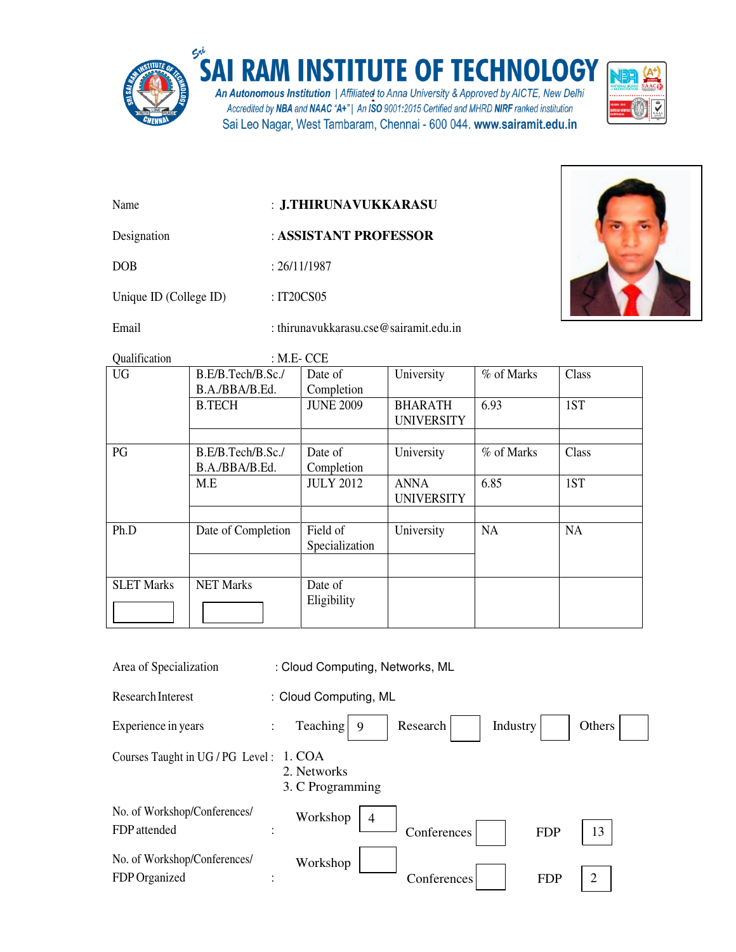

## SAI RAM INSTITUTE OF TECHNOLOGY

An Autonomous Institution | Affiliated to Anna University & Approved by AICTE, New Delhi Accredited by NBA and NAAC "A+" | An ISO 9001:2015 Certified and MHRD NIRF ranked institution Sai Leo Nagar, West Tambaram, Chennai - 600 044. www.sairamit.edu.in



- Name : **J.THIRUNAVUKKARASU**
- Designation : **ASSISTANT PROFESSOR**

DOB : 26/11/1987

Unique ID (College ID) : IT20CS05

Email : thirunavukkarasu.cse@sairamit.edu.in



Qualification : M.E. CCE

| B.E/B.Tech/B.Sc./<br>B.A./BBA/B.Ed. | Date of<br>Completion      | University                          | % of Marks | Class |  |
|-------------------------------------|----------------------------|-------------------------------------|------------|-------|--|
| <b>B.TECH</b>                       | <b>JUNE 2009</b>           | <b>BHARATH</b><br><b>UNIVERSITY</b> | 6.93       | 1ST   |  |
|                                     |                            |                                     |            |       |  |
| B.E/B.Tech/B.Sc./                   | Date of                    | University                          | % of Marks | Class |  |
| M.E                                 | <b>JULY 2012</b>           | <b>ANNA</b><br><b>UNIVERSITY</b>    | 6.85       | 1ST   |  |
|                                     |                            |                                     |            |       |  |
| Date of Completion                  | Field of<br>Specialization | University                          | <b>NA</b>  | NA    |  |
|                                     |                            |                                     |            |       |  |
| <b>NET Marks</b>                    | Date of<br>Eligibility     |                                     |            |       |  |
|                                     | B.A./BBA/B.Ed.             | Completion                          |            |       |  |

| Area of Specialization                        | : Cloud Computing, Networks, ML |                                                               |  |  |  |  |
|-----------------------------------------------|---------------------------------|---------------------------------------------------------------|--|--|--|--|
| Research Interest                             |                                 | : Cloud Computing, ML                                         |  |  |  |  |
| Experience in years                           | $\ddot{\cdot}$                  | Teaching<br>Research<br>Industry<br>Others<br>9               |  |  |  |  |
| Courses Taught in UG / PG Level: 1. COA       |                                 | 2. Networks<br>3. C Programming                               |  |  |  |  |
| No. of Workshop/Conferences/<br>FDP attended  | $\ddot{\cdot}$                  | Workshop<br>$\overline{4}$<br>13<br>Conferences<br><b>FDP</b> |  |  |  |  |
| No. of Workshop/Conferences/<br>FDP Organized | $\ddot{\phantom{a}}$            | Workshop<br>2<br>Conferences<br><b>FDP</b>                    |  |  |  |  |